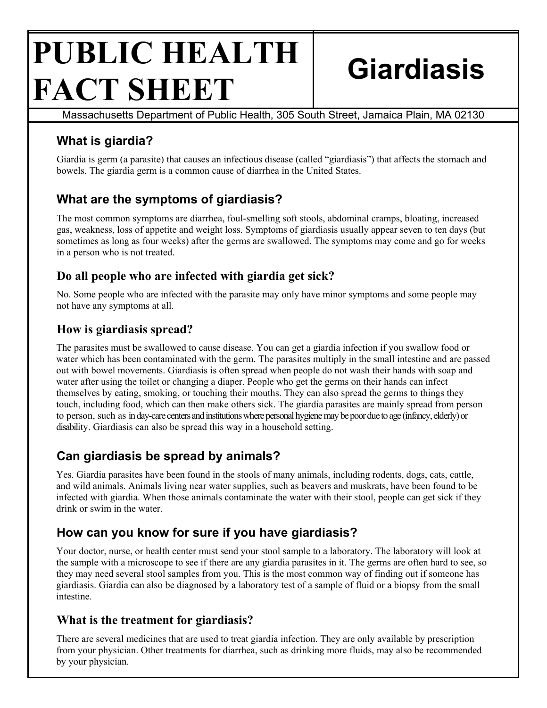# **PUBLIC HEALTH FACT SHEET Giardiasis**

Massachusetts Department of Public Health, 305 South Street, Jamaica Plain, MA 02130

## **What is giardia?**

Giardia is germ (a parasite) that causes an infectious disease (called "giardiasis") that affects the stomach and bowels. The giardia germ is a common cause of diarrhea in the United States.

## **What are the symptoms of giardiasis?**

The most common symptoms are diarrhea, foul-smelling soft stools, abdominal cramps, bloating, increased gas, weakness, loss of appetite and weight loss. Symptoms of giardiasis usually appear seven to ten days (but sometimes as long as four weeks) after the germs are swallowed. The symptoms may come and go for weeks in a person who is not treated.

#### **Do all people who are infected with giardia get sick?**

No. Some people who are infected with the parasite may only have minor symptoms and some people may not have any symptoms at all.

#### **How is giardiasis spread?**

The parasites must be swallowed to cause disease. You can get a giardia infection if you swallow food or water which has been contaminated with the germ. The parasites multiply in the small intestine and are passed out with bowel movements. Giardiasis is often spread when people do not wash their hands with soap and water after using the toilet or changing a diaper. People who get the germs on their hands can infect themselves by eating, smoking, or touching their mouths. They can also spread the germs to things they touch, including food, which can then make others sick. The giardia parasites are mainly spread from person to person, such as in day-care centers and institutions where personal hygiene may be poor due to age (infancy, elderly) or disability. Giardiasis can also be spread this way in a household setting.

## **Can giardiasis be spread by animals?**

Yes. Giardia parasites have been found in the stools of many animals, including rodents, dogs, cats, cattle, and wild animals. Animals living near water supplies, such as beavers and muskrats, have been found to be infected with giardia. When those animals contaminate the water with their stool, people can get sick if they drink or swim in the water.

## **How can you know for sure if you have giardiasis?**

Your doctor, nurse, or health center must send your stool sample to a laboratory. The laboratory will look at the sample with a microscope to see if there are any giardia parasites in it. The germs are often hard to see, so they may need several stool samples from you. This is the most common way of finding out if someone has giardiasis. Giardia can also be diagnosed by a laboratory test of a sample of fluid or a biopsy from the small intestine.

#### **What is the treatment for giardiasis?**

There are several medicines that are used to treat giardia infection. They are only available by prescription from your physician. Other treatments for diarrhea, such as drinking more fluids, may also be recommended by your physician.